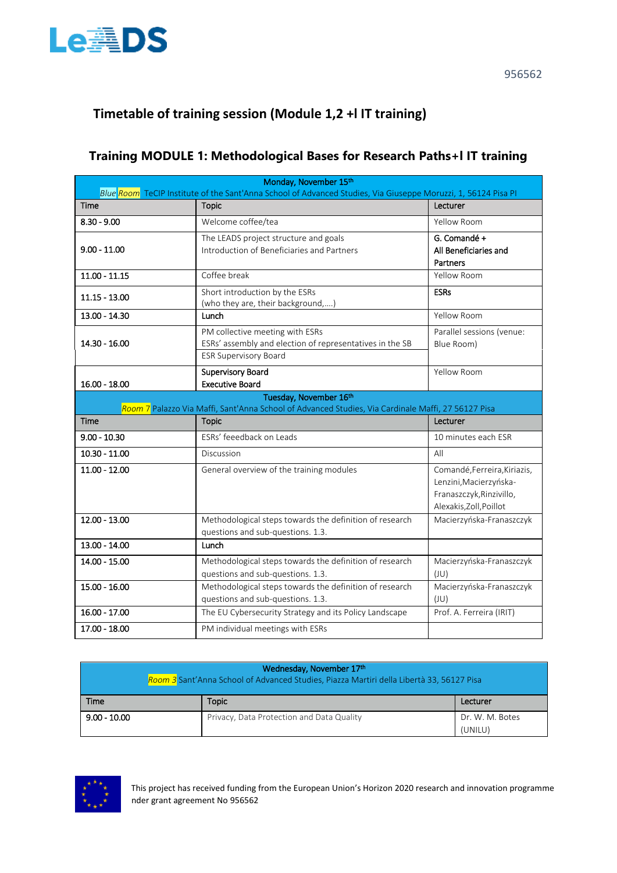

# **Timetable of training session (Module 1,2 +l IT training)**

## **Training MODULE 1: Methodological Bases for Research Paths+l IT training**

| Monday, November 15th<br>Blue Room TeCIP Institute of the Sant'Anna School of Advanced Studies, Via Giuseppe Moruzzi, 1, 56124 Pisa PI |                                                                                                                              |                                                                                                               |
|----------------------------------------------------------------------------------------------------------------------------------------|------------------------------------------------------------------------------------------------------------------------------|---------------------------------------------------------------------------------------------------------------|
| <b>Time</b>                                                                                                                            | <b>Topic</b>                                                                                                                 | Lecturer                                                                                                      |
| $8.30 - 9.00$                                                                                                                          | Welcome coffee/tea                                                                                                           | Yellow Room                                                                                                   |
| $9.00 - 11.00$                                                                                                                         | The LEADS project structure and goals<br>Introduction of Beneficiaries and Partners                                          | G. Comandé +<br>All Beneficiaries and<br><b>Partners</b>                                                      |
| $11.00 - 11.15$                                                                                                                        | Coffee break                                                                                                                 | Yellow Room                                                                                                   |
| $11.15 - 13.00$                                                                                                                        | Short introduction by the ESRs<br>(who they are, their background,)                                                          | <b>ESRs</b>                                                                                                   |
| 13.00 - 14.30                                                                                                                          | Lunch                                                                                                                        | Yellow Room                                                                                                   |
| 14.30 - 16.00                                                                                                                          | PM collective meeting with ESRs<br>ESRs' assembly and election of representatives in the SB<br><b>ESR Supervisory Board</b>  | Parallel sessions (venue:<br>Blue Room)                                                                       |
| $16.00 - 18.00$                                                                                                                        | Supervisory Board<br><b>Executive Board</b>                                                                                  | Yellow Room                                                                                                   |
|                                                                                                                                        | Tuesday, November 16th<br>Room 7 Palazzo Via Maffi, Sant'Anna School of Advanced Studies, Via Cardinale Maffi, 27 56127 Pisa |                                                                                                               |
| Time                                                                                                                                   | <b>Topic</b>                                                                                                                 | Lecturer                                                                                                      |
| $9.00 - 10.30$                                                                                                                         | ESRs' feeedback on Leads                                                                                                     | 10 minutes each ESR                                                                                           |
| $10.30 - 11.00$                                                                                                                        | Discussion                                                                                                                   | All                                                                                                           |
| $11.00 - 12.00$                                                                                                                        | General overview of the training modules                                                                                     | Comandé, Ferreira, Kiriazis,<br>Lenzini, Macierzyńska-<br>Franaszczyk, Rinzivillo,<br>Alexakis, Zoll, Poillot |
| 12.00 - 13.00                                                                                                                          | Methodological steps towards the definition of research<br>questions and sub-questions. 1.3.                                 | Macierzyńska-Franaszczyk                                                                                      |
| $13.00 - 14.00$                                                                                                                        | Lunch                                                                                                                        |                                                                                                               |
| 14.00 - 15.00                                                                                                                          | Methodological steps towards the definition of research<br>questions and sub-questions. 1.3.                                 | Macierzyńska-Franaszczyk<br>(JU)                                                                              |
| $15.00 - 16.00$                                                                                                                        | Methodological steps towards the definition of research<br>questions and sub-questions. 1.3.                                 | Macierzyńska-Franaszczyk<br>(UU)                                                                              |
| 16.00 - 17.00                                                                                                                          | The EU Cybersecurity Strategy and its Policy Landscape                                                                       | Prof. A. Ferreira (IRIT)                                                                                      |
| 17.00 - 18.00                                                                                                                          | PM individual meetings with ESRs                                                                                             |                                                                                                               |

| Wednesday, November 17th<br>Room 3 Sant'Anna School of Advanced Studies, Piazza Martiri della Libertà 33, 56127 Pisa |                                           |                            |
|----------------------------------------------------------------------------------------------------------------------|-------------------------------------------|----------------------------|
| Time                                                                                                                 | <b>Topic</b>                              | Lecturer                   |
| $9.00 - 10.00$                                                                                                       | Privacy, Data Protection and Data Quality | Dr. W. M. Botes<br>(UNILU) |



This project has received funding from the European Union's Horizon 2020 research and innovation programme nder grant agreement No 956562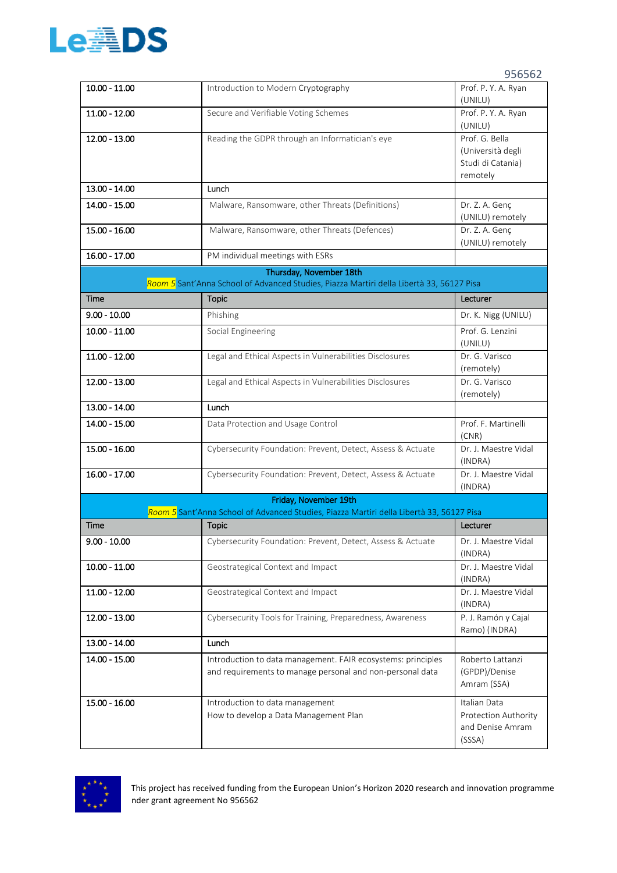

| $10.00 - 11.00$ | Introduction to Modern Cryptography                                                                                       | Prof. P. Y. A. Ryan<br>(UNILU)                                            |
|-----------------|---------------------------------------------------------------------------------------------------------------------------|---------------------------------------------------------------------------|
| 11.00 - 12.00   | Secure and Verifiable Voting Schemes                                                                                      | Prof. P. Y. A. Ryan<br>(UNILU)                                            |
| 12.00 - 13.00   | Reading the GDPR through an Informatician's eye                                                                           | Prof. G. Bella<br>(Università degli<br>Studi di Catania)<br>remotely      |
| 13.00 - 14.00   | Lunch                                                                                                                     |                                                                           |
| $14.00 - 15.00$ | Malware, Ransomware, other Threats (Definitions)                                                                          | Dr. Z. A. Genç<br>(UNILU) remotely                                        |
| 15.00 - 16.00   | Malware, Ransomware, other Threats (Defences)                                                                             | Dr. Z. A. Genç<br>(UNILU) remotely                                        |
| 16.00 - 17.00   | PM individual meetings with ESRs                                                                                          |                                                                           |
|                 | Thursday, November 18th<br>Room 5 Sant'Anna School of Advanced Studies, Piazza Martiri della Libertà 33, 56127 Pisa       |                                                                           |
| Time            | <b>Topic</b>                                                                                                              | Lecturer                                                                  |
| $9.00 - 10.00$  | Phishing                                                                                                                  | Dr. K. Nigg (UNILU)                                                       |
| $10.00 - 11.00$ | Social Engineering                                                                                                        | Prof. G. Lenzini<br>(UNILU)                                               |
| $11.00 - 12.00$ | Legal and Ethical Aspects in Vulnerabilities Disclosures                                                                  | Dr. G. Varisco<br>(remotely)                                              |
| $12.00 - 13.00$ | Legal and Ethical Aspects in Vulnerabilities Disclosures                                                                  | Dr. G. Varisco<br>(remotely)                                              |
| 13.00 - 14.00   | Lunch                                                                                                                     |                                                                           |
| 14.00 - 15.00   | Data Protection and Usage Control                                                                                         | Prof. F. Martinelli<br>(CNR)                                              |
| 15.00 - 16.00   | Cybersecurity Foundation: Prevent, Detect, Assess & Actuate                                                               | Dr. J. Maestre Vidal<br>(INDRA)                                           |
| $16.00 - 17.00$ | Cybersecurity Foundation: Prevent, Detect, Assess & Actuate                                                               | Dr. J. Maestre Vidal<br>(INDRA)                                           |
|                 | Friday, November 19th                                                                                                     |                                                                           |
| Time            | Room 5 Sant'Anna School of Advanced Studies, Piazza Martiri della Libertà 33, 56127 Pisa<br><b>Topic</b>                  | Lecturer                                                                  |
| $9.00 - 10.00$  | Cybersecurity Foundation: Prevent, Detect, Assess & Actuate                                                               | Dr. J. Maestre Vidal                                                      |
| $10.00 - 11.00$ | Geostrategical Context and Impact                                                                                         | (INDRA)<br>Dr. J. Maestre Vidal<br>(INDRA)                                |
| $11.00 - 12.00$ | Geostrategical Context and Impact                                                                                         | Dr. J. Maestre Vidal<br>(INDRA)                                           |
| 12.00 - 13.00   | Cybersecurity Tools for Training, Preparedness, Awareness                                                                 | P. J. Ramón y Cajal<br>Ramo) (INDRA)                                      |
| 13.00 - 14.00   | Lunch                                                                                                                     |                                                                           |
| 14.00 - 15.00   | Introduction to data management. FAIR ecosystems: principles<br>and requirements to manage personal and non-personal data | Roberto Lattanzi<br>(GPDP)/Denise<br>Amram (SSA)                          |
| 15.00 - 16.00   | Introduction to data management<br>How to develop a Data Management Plan                                                  | Italian Data<br><b>Protection Authority</b><br>and Denise Amram<br>(SSSA) |



This project has received funding from the European Union's Horizon 2020 research and innovation programme nder grant agreement No 956562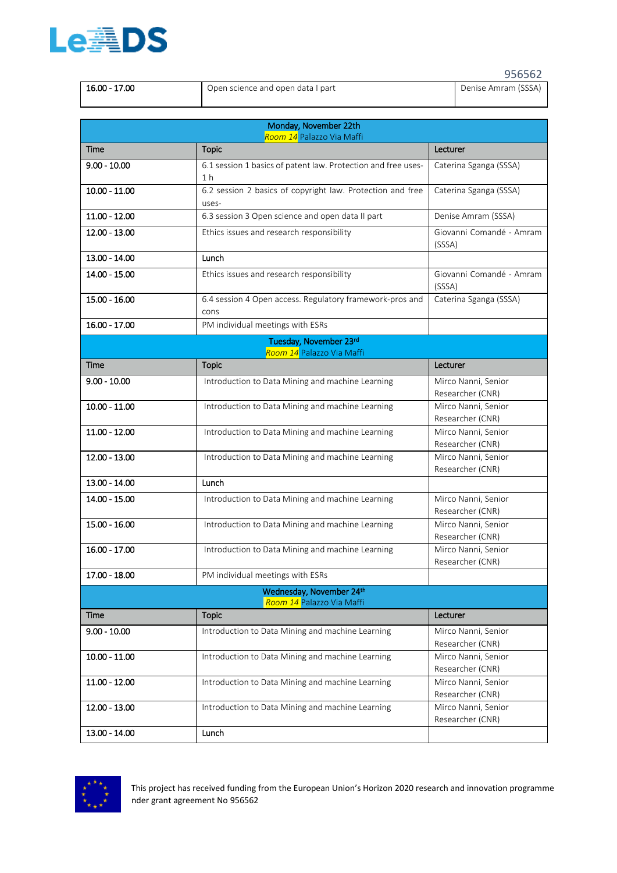

|               |                                   | 956562              |
|---------------|-----------------------------------|---------------------|
| 16.00 - 17.00 | Open science and open data I part | Denise Amram (SSSA) |

|                 | Monday, November 22th<br>Room 14 Palazzo Via Maffi                              |                                         |
|-----------------|---------------------------------------------------------------------------------|-----------------------------------------|
| Time            | <b>Topic</b>                                                                    | Lecturer                                |
| $9.00 - 10.00$  | 6.1 session 1 basics of patent law. Protection and free uses-<br>1 <sub>h</sub> | Caterina Sganga (SSSA)                  |
| $10.00 - 11.00$ | 6.2 session 2 basics of copyright law. Protection and free<br>uses-             | Caterina Sganga (SSSA)                  |
| $11.00 - 12.00$ | 6.3 session 3 Open science and open data II part                                | Denise Amram (SSSA)                     |
| 12.00 - 13.00   | Ethics issues and research responsibility                                       | Giovanni Comandé - Amram<br>(SSSA)      |
| 13.00 - 14.00   | Lunch                                                                           |                                         |
| 14.00 - 15.00   | Ethics issues and research responsibility                                       | Giovanni Comandé - Amram<br>(SSSA)      |
| $15.00 - 16.00$ | 6.4 session 4 Open access. Regulatory framework-pros and<br>cons                | Caterina Sganga (SSSA)                  |
| 16.00 - 17.00   | PM individual meetings with ESRs                                                |                                         |
|                 | Tuesday, November 23rd                                                          |                                         |
| Time            | Room 14 Palazzo Via Maffi<br><b>Topic</b>                                       | Lecturer                                |
| $9.00 - 10.00$  | Introduction to Data Mining and machine Learning                                | Mirco Nanni, Senior                     |
|                 |                                                                                 | Researcher (CNR)                        |
| $10.00 - 11.00$ | Introduction to Data Mining and machine Learning                                | Mirco Nanni, Senior<br>Researcher (CNR) |
| $11.00 - 12.00$ | Introduction to Data Mining and machine Learning                                | Mirco Nanni, Senior<br>Researcher (CNR) |
| 12.00 - 13.00   | Introduction to Data Mining and machine Learning                                | Mirco Nanni, Senior<br>Researcher (CNR) |
| 13.00 - 14.00   | Lunch                                                                           |                                         |
| 14.00 - 15.00   | Introduction to Data Mining and machine Learning                                | Mirco Nanni, Senior<br>Researcher (CNR) |
| 15.00 - 16.00   | Introduction to Data Mining and machine Learning                                | Mirco Nanni, Senior<br>Researcher (CNR) |
| 16.00 - 17.00   | Introduction to Data Mining and machine Learning                                | Mirco Nanni, Senior<br>Researcher (CNR) |
| $17.00 - 18.00$ | PM individual meetings with ESRs                                                |                                         |
|                 | Wednesday, November 24th<br>Room 14 Palazzo Via Maffi                           |                                         |
| Time            | <b>Topic</b>                                                                    | Lecturer                                |
| $9.00 - 10.00$  | Introduction to Data Mining and machine Learning                                | Mirco Nanni, Senior<br>Researcher (CNR) |
| $10.00 - 11.00$ | Introduction to Data Mining and machine Learning                                | Mirco Nanni, Senior<br>Researcher (CNR) |
| $11.00 - 12.00$ | Introduction to Data Mining and machine Learning                                | Mirco Nanni, Senior<br>Researcher (CNR) |
| 12.00 - 13.00   | Introduction to Data Mining and machine Learning                                | Mirco Nanni, Senior<br>Researcher (CNR) |
| 13.00 - 14.00   | Lunch                                                                           |                                         |

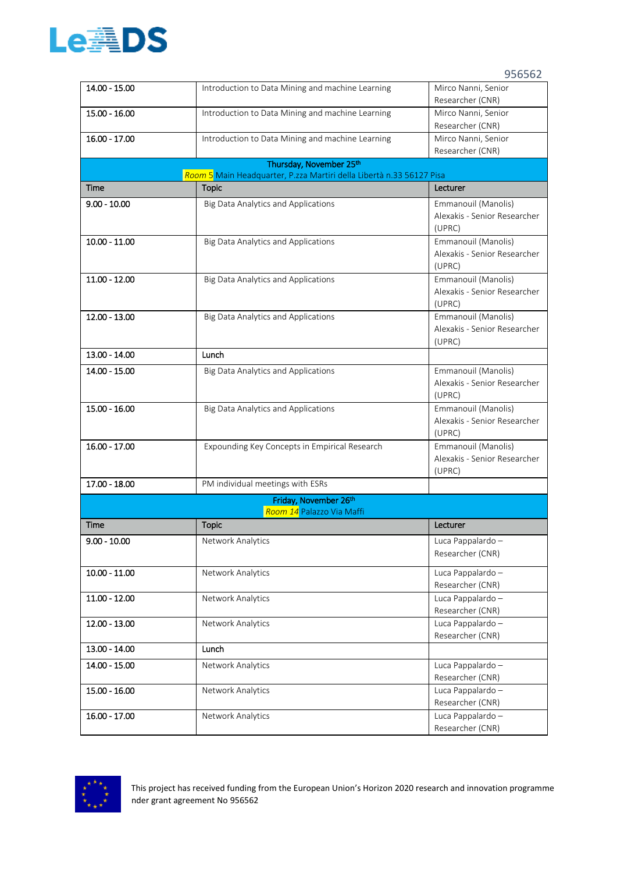

| 14.00 - 15.00   | Introduction to Data Mining and machine Learning                                                | Mirco Nanni, Senior                                 |
|-----------------|-------------------------------------------------------------------------------------------------|-----------------------------------------------------|
|                 |                                                                                                 | Researcher (CNR)                                    |
| 15.00 - 16.00   | Introduction to Data Mining and machine Learning                                                | Mirco Nanni, Senior                                 |
|                 |                                                                                                 | Researcher (CNR)                                    |
| 16.00 - 17.00   | Introduction to Data Mining and machine Learning                                                | Mirco Nanni, Senior                                 |
|                 |                                                                                                 | Researcher (CNR)                                    |
|                 | Thursday, November 25th<br>Room 5 Main Headquarter, P.zza Martiri della Libertà n.33 56127 Pisa |                                                     |
| Time            | <b>Topic</b>                                                                                    | Lecturer                                            |
| $9.00 - 10.00$  | Big Data Analytics and Applications                                                             | Emmanouil (Manolis)                                 |
|                 |                                                                                                 | Alexakis - Senior Researcher                        |
|                 |                                                                                                 | (UPRC)                                              |
| $10.00 - 11.00$ | <b>Big Data Analytics and Applications</b>                                                      | Emmanouil (Manolis)                                 |
|                 |                                                                                                 | Alexakis - Senior Researcher                        |
|                 |                                                                                                 | (UPRC)                                              |
| $11.00 - 12.00$ | Big Data Analytics and Applications                                                             | Emmanouil (Manolis)                                 |
|                 |                                                                                                 | Alexakis - Senior Researcher                        |
|                 |                                                                                                 | (UPRC)                                              |
| $12.00 - 13.00$ | <b>Big Data Analytics and Applications</b>                                                      | Emmanouil (Manolis)                                 |
|                 |                                                                                                 | Alexakis - Senior Researcher                        |
|                 |                                                                                                 | (UPRC)                                              |
| 13.00 - 14.00   | Lunch                                                                                           |                                                     |
| 14.00 - 15.00   | Big Data Analytics and Applications                                                             | Emmanouil (Manolis)                                 |
|                 |                                                                                                 | Alexakis - Senior Researcher                        |
|                 |                                                                                                 | (UPRC)                                              |
| 15.00 - 16.00   | Big Data Analytics and Applications                                                             | Emmanouil (Manolis)<br>Alexakis - Senior Researcher |
|                 |                                                                                                 | (UPRC)                                              |
| 16.00 - 17.00   | Expounding Key Concepts in Empirical Research                                                   | Emmanouil (Manolis)                                 |
|                 |                                                                                                 | Alexakis - Senior Researcher                        |
|                 |                                                                                                 | (UPRC)                                              |
| 17.00 - 18.00   | PM individual meetings with ESRs                                                                |                                                     |
|                 | Friday, November 26th                                                                           |                                                     |
|                 | Room 14 Palazzo Via Maffi                                                                       |                                                     |
| Time            | <b>Topic</b>                                                                                    | Lecturer                                            |
| $9.00 - 10.00$  | <b>Network Analytics</b>                                                                        | Luca Pappalardo -                                   |
|                 |                                                                                                 | Researcher (CNR)                                    |
| $10.00 - 11.00$ | Network Analytics                                                                               | Luca Pappalardo -                                   |
|                 |                                                                                                 | Researcher (CNR)                                    |
| $11.00 - 12.00$ | Network Analytics                                                                               | Luca Pappalardo -                                   |
|                 |                                                                                                 | Researcher (CNR)                                    |
| 12.00 - 13.00   | <b>Network Analytics</b>                                                                        | Luca Pappalardo -                                   |
|                 |                                                                                                 | Researcher (CNR)                                    |
| 13.00 - 14.00   | Lunch                                                                                           |                                                     |
| 14.00 - 15.00   | <b>Network Analytics</b>                                                                        | Luca Pappalardo -                                   |
|                 |                                                                                                 | Researcher (CNR)                                    |
| 15.00 - 16.00   | Network Analytics                                                                               | Luca Pappalardo -                                   |
|                 |                                                                                                 | Researcher (CNR)                                    |
| $16.00 - 17.00$ | Network Analytics                                                                               | Luca Pappalardo -                                   |
|                 |                                                                                                 | Researcher (CNR)                                    |

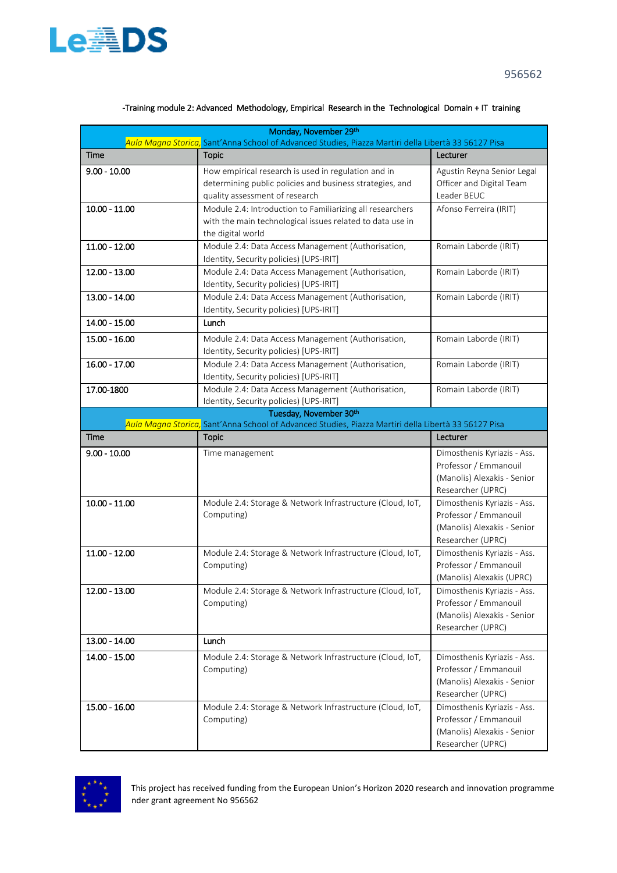

| Monday, November 29th<br>Aula Magna Storica, Sant'Anna School of Advanced Studies, Piazza Martiri della Libertà 33 56127 Pisa |                                                                                                      |                                                  |
|-------------------------------------------------------------------------------------------------------------------------------|------------------------------------------------------------------------------------------------------|--------------------------------------------------|
| Time                                                                                                                          | <b>Topic</b>                                                                                         | Lecturer                                         |
| $9.00 - 10.00$                                                                                                                | How empirical research is used in regulation and in                                                  | Agustin Reyna Senior Legal                       |
|                                                                                                                               | determining public policies and business strategies, and                                             | Officer and Digital Team                         |
|                                                                                                                               | quality assessment of research                                                                       | Leader BEUC                                      |
| $10.00 - 11.00$                                                                                                               | Module 2.4: Introduction to Familiarizing all researchers                                            | Afonso Ferreira (IRIT)                           |
|                                                                                                                               | with the main technological issues related to data use in                                            |                                                  |
|                                                                                                                               | the digital world                                                                                    |                                                  |
| $11.00 - 12.00$                                                                                                               | Module 2.4: Data Access Management (Authorisation,                                                   | Romain Laborde (IRIT)                            |
|                                                                                                                               | Identity, Security policies) [UPS-IRIT]                                                              |                                                  |
| 12.00 - 13.00                                                                                                                 | Module 2.4: Data Access Management (Authorisation,                                                   | Romain Laborde (IRIT)                            |
|                                                                                                                               | Identity, Security policies) [UPS-IRIT]                                                              |                                                  |
| 13.00 - 14.00                                                                                                                 | Module 2.4: Data Access Management (Authorisation,                                                   | Romain Laborde (IRIT)                            |
|                                                                                                                               | Identity, Security policies) [UPS-IRIT]                                                              |                                                  |
| 14.00 - 15.00                                                                                                                 | Lunch                                                                                                |                                                  |
| $15.00 - 16.00$                                                                                                               | Module 2.4: Data Access Management (Authorisation,                                                   | Romain Laborde (IRIT)                            |
|                                                                                                                               | Identity, Security policies) [UPS-IRIT]                                                              |                                                  |
| $16.00 - 17.00$                                                                                                               | Module 2.4: Data Access Management (Authorisation,                                                   | Romain Laborde (IRIT)                            |
|                                                                                                                               | Identity, Security policies) [UPS-IRIT]                                                              |                                                  |
| 17.00-1800                                                                                                                    | Module 2.4: Data Access Management (Authorisation,                                                   | Romain Laborde (IRIT)                            |
|                                                                                                                               | Identity, Security policies) [UPS-IRIT]                                                              |                                                  |
|                                                                                                                               | Tuesday, November 30th                                                                               |                                                  |
|                                                                                                                               | Aula Magna Storica, Sant'Anna School of Advanced Studies, Piazza Martiri della Libertà 33 56127 Pisa |                                                  |
| Time                                                                                                                          | <b>Topic</b>                                                                                         | Lecturer                                         |
| $9.00 - 10.00$                                                                                                                | Time management                                                                                      | Dimosthenis Kyriazis - Ass.                      |
|                                                                                                                               |                                                                                                      | Professor / Emmanouil                            |
|                                                                                                                               |                                                                                                      | (Manolis) Alexakis - Senior                      |
|                                                                                                                               |                                                                                                      | Researcher (UPRC)                                |
| $10.00 - 11.00$                                                                                                               | Module 2.4: Storage & Network Infrastructure (Cloud, IoT,                                            | Dimosthenis Kyriazis - Ass.                      |
|                                                                                                                               | Computing)                                                                                           | Professor / Emmanouil                            |
|                                                                                                                               |                                                                                                      | (Manolis) Alexakis - Senior                      |
|                                                                                                                               |                                                                                                      | Researcher (UPRC)                                |
| $11.00 - 12.00$                                                                                                               | Module 2.4: Storage & Network Infrastructure (Cloud, IoT,                                            | Dimosthenis Kyriazis - Ass.                      |
|                                                                                                                               | Computing)                                                                                           | Professor / Emmanouil                            |
|                                                                                                                               |                                                                                                      | (Manolis) Alexakis (UPRC)                        |
| 12.00 - 13.00                                                                                                                 | Module 2.4: Storage & Network Infrastructure (Cloud, IoT,                                            | Dimosthenis Kyriazis - Ass.                      |
|                                                                                                                               | Computing)                                                                                           | Professor / Emmanouil                            |
|                                                                                                                               |                                                                                                      | (Manolis) Alexakis - Senior<br>Researcher (UPRC) |
| 13.00 - 14.00                                                                                                                 | Lunch                                                                                                |                                                  |
|                                                                                                                               |                                                                                                      |                                                  |
| 14.00 - 15.00                                                                                                                 | Module 2.4: Storage & Network Infrastructure (Cloud, IoT,                                            | Dimosthenis Kyriazis - Ass.                      |
|                                                                                                                               | Computing)                                                                                           | Professor / Emmanouil                            |
|                                                                                                                               |                                                                                                      | (Manolis) Alexakis - Senior                      |
|                                                                                                                               |                                                                                                      | Researcher (UPRC)                                |
| 15.00 - 16.00                                                                                                                 | Module 2.4: Storage & Network Infrastructure (Cloud, IoT,                                            | Dimosthenis Kyriazis - Ass.                      |
|                                                                                                                               | Computing)                                                                                           | Professor / Emmanouil                            |
|                                                                                                                               |                                                                                                      | (Manolis) Alexakis - Senior                      |
|                                                                                                                               |                                                                                                      | Researcher (UPRC)                                |

## -Training module 2: Advanced Methodology, Empirical Research in the Technological Domain + IT training

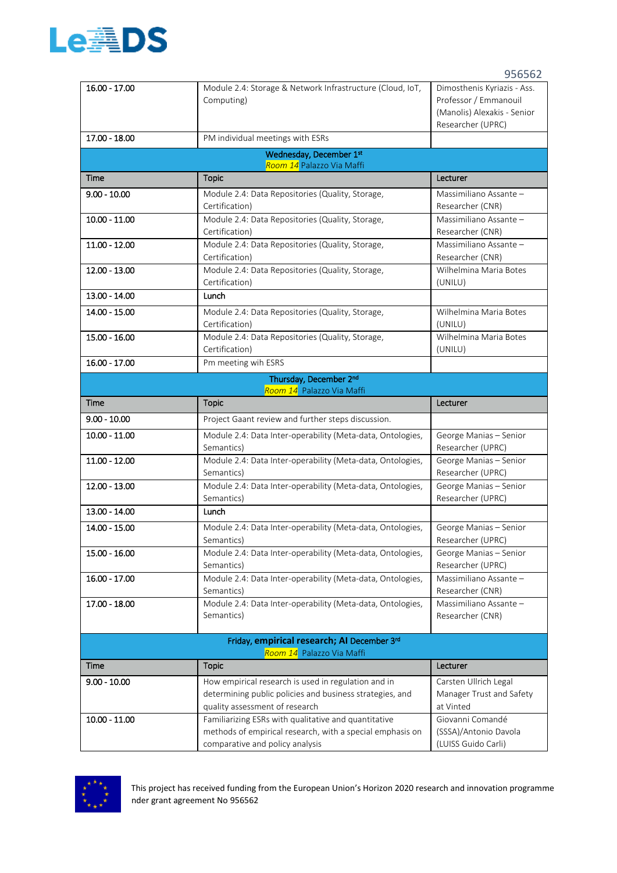

| 16.00 - 17.00   | Module 2.4: Storage & Network Infrastructure (Cloud, IoT,                                    | Dimosthenis Kyriazis - Ass.                  |
|-----------------|----------------------------------------------------------------------------------------------|----------------------------------------------|
|                 | Computing)                                                                                   | Professor / Emmanouil                        |
|                 |                                                                                              | (Manolis) Alexakis - Senior                  |
| 17.00 - 18.00   | PM individual meetings with ESRs                                                             | Researcher (UPRC)                            |
|                 |                                                                                              |                                              |
|                 | Wednesday, December 1st<br>Room 14 Palazzo Via Maffi                                         |                                              |
| Time            | <b>Topic</b>                                                                                 | Lecturer                                     |
| $9.00 - 10.00$  | Module 2.4: Data Repositories (Quality, Storage,                                             | Massimiliano Assante -                       |
|                 | Certification)                                                                               | Researcher (CNR)                             |
| $10.00 - 11.00$ | Module 2.4: Data Repositories (Quality, Storage,                                             | Massimiliano Assante -                       |
|                 | Certification)                                                                               | Researcher (CNR)                             |
| $11.00 - 12.00$ | Module 2.4: Data Repositories (Quality, Storage,                                             | Massimiliano Assante -                       |
| $12.00 - 13.00$ | Certification)<br>Module 2.4: Data Repositories (Quality, Storage,                           | Researcher (CNR)<br>Wilhelmina Maria Botes   |
|                 | Certification)                                                                               | (UNILU)                                      |
| 13.00 - 14.00   | Lunch                                                                                        |                                              |
| 14.00 - 15.00   | Module 2.4: Data Repositories (Quality, Storage,                                             | Wilhelmina Maria Botes                       |
|                 | Certification)                                                                               | (UNILU)                                      |
| 15.00 - 16.00   | Module 2.4: Data Repositories (Quality, Storage,                                             | Wilhelmina Maria Botes                       |
|                 | Certification)                                                                               | (UNILU)                                      |
| 16.00 - 17.00   | Pm meeting wih ESRS                                                                          |                                              |
|                 | Thursday, December 2nd                                                                       |                                              |
|                 | Room 14 Palazzo Via Maffi                                                                    |                                              |
| Time            | <b>Topic</b>                                                                                 | Lecturer                                     |
| $9.00 - 10.00$  | Project Gaant review and further steps discussion.                                           |                                              |
| $10.00 - 11.00$ | Module 2.4: Data Inter-operability (Meta-data, Ontologies,                                   | George Manias - Senior                       |
|                 | Semantics)                                                                                   | Researcher (UPRC)                            |
| $11.00 - 12.00$ | Module 2.4: Data Inter-operability (Meta-data, Ontologies,                                   | George Manias - Senior                       |
| 12.00 - 13.00   | Semantics)<br>Module 2.4: Data Inter-operability (Meta-data, Ontologies,                     | Researcher (UPRC)<br>George Manias - Senior  |
|                 | Semantics)                                                                                   | Researcher (UPRC)                            |
| 13.00 - 14.00   | Lunch                                                                                        |                                              |
| 14.00 - 15.00   | Module 2.4: Data Inter-operability (Meta-data, Ontologies,                                   | George Manias - Senior                       |
|                 | Semantics)                                                                                   | Researcher (UPRC)                            |
| 15.00 - 16.00   | Module 2.4: Data Inter-operability (Meta-data, Ontologies,                                   | George Manias - Senior                       |
|                 | Semantics)                                                                                   | Researcher (UPRC)                            |
| $16.00 - 17.00$ | Module 2.4: Data Inter-operability (Meta-data, Ontologies,                                   | Massimiliano Assante -                       |
|                 | Semantics)                                                                                   | Researcher (CNR)                             |
| 17.00 - 18.00   | Module 2.4: Data Inter-operability (Meta-data, Ontologies,                                   | Massimiliano Assante -                       |
|                 | Semantics)                                                                                   | Researcher (CNR)                             |
|                 | Friday, empirical research; AI December 3rd                                                  |                                              |
|                 | Room 14 Palazzo Via Maffi                                                                    |                                              |
| <b>Time</b>     | <b>Topic</b>                                                                                 | Lecturer                                     |
| $9.00 - 10.00$  | How empirical research is used in regulation and in                                          | Carsten Ullrich Legal                        |
|                 | determining public policies and business strategies, and                                     | Manager Trust and Safety                     |
|                 | quality assessment of research                                                               | at Vinted                                    |
| $10.00 - 11.00$ | Familiarizing ESRs with qualitative and quantitative                                         | Giovanni Comandé                             |
|                 | methods of empirical research, with a special emphasis on<br>comparative and policy analysis | (SSSA)/Antonio Davola<br>(LUISS Guido Carli) |
|                 |                                                                                              |                                              |



This project has received funding from the European Union's Horizon 2020 research and innovation programme nder grant agreement No 956562